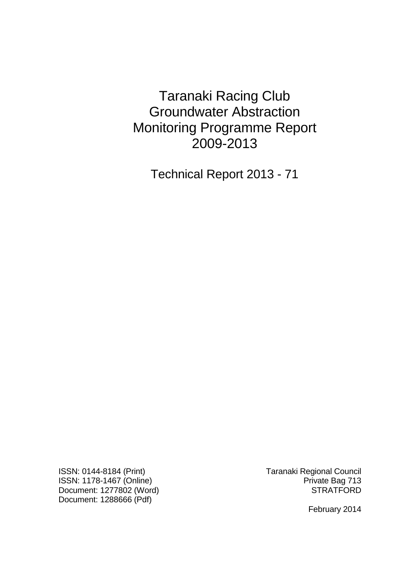Taranaki Racing Club Groundwater Abstraction Monitoring Programme Report 2009-2013

Technical Report 2013 - 71

ISSN: 0144-8184 (Print) Taranaki Regional Council ISSN: 1178-1467 (Online)<br>Document: 1277802 (Word) Private Bag 713 Document: 1277802 (Word) Document: 1288666 (Pdf)

February 2014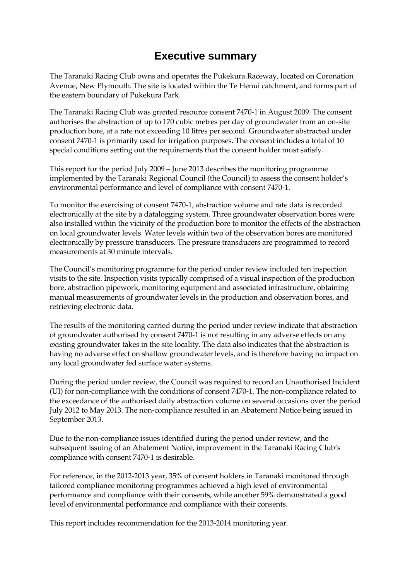# **Executive summary**

The Taranaki Racing Club owns and operates the Pukekura Raceway, located on Coronation Avenue, New Plymouth. The site is located within the Te Henui catchment, and forms part of the eastern boundary of Pukekura Park.

The Taranaki Racing Club was granted resource consent 7470-1 in August 2009. The consent authorises the abstraction of up to 170 cubic metres per day of groundwater from an on-site production bore, at a rate not exceeding 10 litres per second. Groundwater abstracted under consent 7470-1 is primarily used for irrigation purposes. The consent includes a total of 10 special conditions setting out the requirements that the consent holder must satisfy.

This report for the period July 2009 – June 2013 describes the monitoring programme implemented by the Taranaki Regional Council (the Council) to assess the consent holder's environmental performance and level of compliance with consent 7470-1.

To monitor the exercising of consent 7470-1, abstraction volume and rate data is recorded electronically at the site by a datalogging system. Three groundwater observation bores were also installed within the vicinity of the production bore to monitor the effects of the abstraction on local groundwater levels. Water levels within two of the observation bores are monitored electronically by pressure transducers. The pressure transducers are programmed to record measurements at 30 minute intervals.

The Council's monitoring programme for the period under review included ten inspection visits to the site. Inspection visits typically comprised of a visual inspection of the production bore, abstraction pipework, monitoring equipment and associated infrastructure, obtaining manual measurements of groundwater levels in the production and observation bores, and retrieving electronic data.

The results of the monitoring carried during the period under review indicate that abstraction of groundwater authorised by consent 7470-1 is not resulting in any adverse effects on any existing groundwater takes in the site locality. The data also indicates that the abstraction is having no adverse effect on shallow groundwater levels, and is therefore having no impact on any local groundwater fed surface water systems.

During the period under review, the Council was required to record an Unauthorised Incident (UI) for non-compliance with the conditions of consent 7470-1. The non-compliance related to the exceedance of the authorised daily abstraction volume on several occasions over the period July 2012 to May 2013. The non-compliance resulted in an Abatement Notice being issued in September 2013.

Due to the non-compliance issues identified during the period under review, and the subsequent issuing of an Abatement Notice, improvement in the Taranaki Racing Club's compliance with consent 7470-1 is desirable.

For reference, in the 2012-2013 year, 35% of consent holders in Taranaki monitored through tailored compliance monitoring programmes achieved a high level of environmental performance and compliance with their consents, while another 59% demonstrated a good level of environmental performance and compliance with their consents.

This report includes recommendation for the 2013-2014 monitoring year.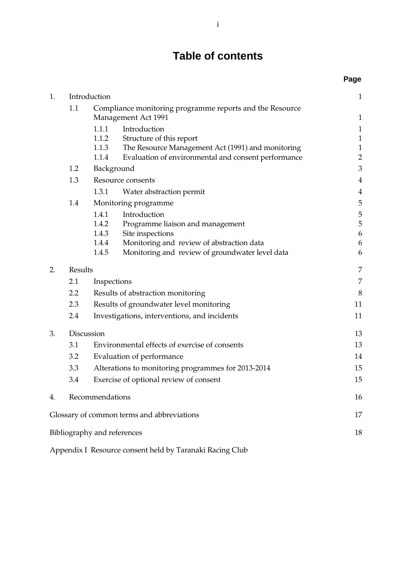# **Table of contents**

|    |                                                                 |                                                    |                                                     | Page           |
|----|-----------------------------------------------------------------|----------------------------------------------------|-----------------------------------------------------|----------------|
| 1. | Introduction                                                    |                                                    |                                                     | $\mathbf{1}$   |
|    | 1.1<br>Compliance monitoring programme reports and the Resource |                                                    |                                                     |                |
|    |                                                                 | <b>Management Act 1991</b>                         |                                                     | $\mathbf{1}$   |
|    |                                                                 | 1.1.1                                              | Introduction                                        | $\mathbf{1}$   |
|    |                                                                 | 1.1.2                                              | Structure of this report                            | $\,1$          |
|    |                                                                 | 1.1.3                                              | The Resource Management Act (1991) and monitoring   | $\mathbf{1}$   |
|    |                                                                 | 1.1.4                                              | Evaluation of environmental and consent performance | $\overline{2}$ |
|    | 1.2                                                             | Background                                         |                                                     | 3              |
|    | Resource consents<br>1.3                                        |                                                    | $\overline{4}$                                      |                |
|    |                                                                 | 1.3.1                                              | Water abstraction permit                            | $\overline{4}$ |
|    | 1.4                                                             |                                                    | Monitoring programme                                | 5              |
|    |                                                                 | 1.4.1                                              | Introduction                                        | 5              |
|    |                                                                 | 1.4.2                                              | Programme liaison and management                    | 5              |
|    |                                                                 | 1.4.3                                              | Site inspections                                    | 6              |
|    |                                                                 | 1.4.4<br>1.4.5                                     | Monitoring and review of abstraction data           | 6<br>6         |
|    |                                                                 |                                                    | Monitoring and review of groundwater level data     |                |
| 2. | Results                                                         |                                                    | 7                                                   |                |
|    | 2.1                                                             | Inspections                                        |                                                     | 7              |
|    | 2.2                                                             | Results of abstraction monitoring                  |                                                     | 8              |
|    | 2.3                                                             | Results of groundwater level monitoring            |                                                     | 11             |
|    | 2.4                                                             | Investigations, interventions, and incidents       |                                                     | 11             |
| 3. |                                                                 | Discussion                                         |                                                     | 13             |
|    | 3.1                                                             | Environmental effects of exercise of consents      |                                                     | 13             |
|    | 3.2                                                             | Evaluation of performance                          |                                                     | 14             |
|    | 3.3                                                             | Alterations to monitoring programmes for 2013-2014 |                                                     | 15             |
|    | 3.4                                                             |                                                    | Exercise of optional review of consent              | 15             |
|    |                                                                 |                                                    |                                                     |                |
| 4. |                                                                 | Recommendations                                    |                                                     | 16             |
|    |                                                                 |                                                    | Glossary of common terms and abbreviations          | 17             |
|    |                                                                 | Bibliography and references                        |                                                     | 18             |
|    |                                                                 |                                                    |                                                     |                |

Appendix I Resource consent held by Taranaki Racing Club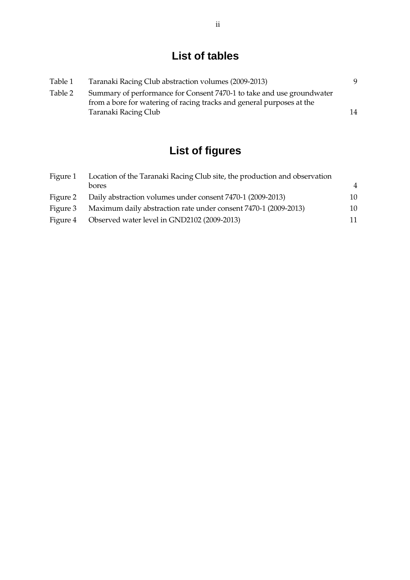# **List of tables**

| Table 1 | Taranaki Racing Club abstraction volumes (2009-2013)                                                                                           | 9  |
|---------|------------------------------------------------------------------------------------------------------------------------------------------------|----|
| Table 2 | Summary of performance for Consent 7470-1 to take and use groundwater<br>from a bore for watering of racing tracks and general purposes at the |    |
|         | Taranaki Racing Club                                                                                                                           | 14 |

# **List of figures**

| Figure 1 | Location of the Taranaki Racing Club site, the production and observation |                |  |
|----------|---------------------------------------------------------------------------|----------------|--|
|          | bores                                                                     | $\overline{4}$ |  |
|          | Figure 2 Daily abstraction volumes under consent 7470-1 (2009-2013)       | 10             |  |
|          | Figure 3 Maximum daily abstraction rate under consent 7470-1 (2009-2013)  | 10             |  |
| Figure 4 | Observed water level in GND2102 (2009-2013)                               | 11             |  |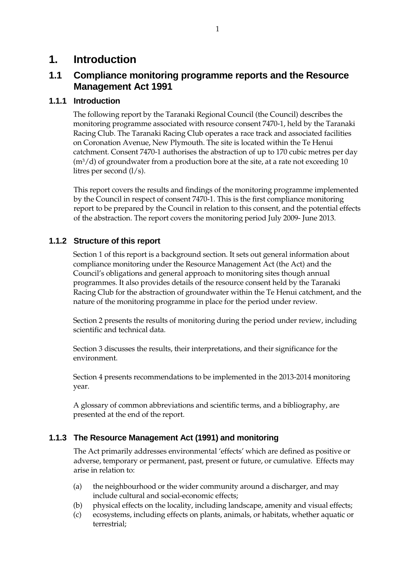## **1. Introduction**

## **1.1 Compliance monitoring programme reports and the Resource Management Act 1991**

### **1.1.1 Introduction**

The following report by the Taranaki Regional Council (the Council) describes the monitoring programme associated with resource consent 7470-1, held by the Taranaki Racing Club. The Taranaki Racing Club operates a race track and associated facilities on Coronation Avenue, New Plymouth. The site is located within the Te Henui catchment. Consent 7470-1 authorises the abstraction of up to 170 cubic metres per day  $(m<sup>3</sup>/d)$  of groundwater from a production bore at the site, at a rate not exceeding 10 litres per second (l/s).

This report covers the results and findings of the monitoring programme implemented by the Council in respect of consent 7470-1. This is the first compliance monitoring report to be prepared by the Council in relation to this consent, and the potential effects of the abstraction. The report covers the monitoring period July 2009- June 2013.

### **1.1.2 Structure of this report**

Section 1 of this report is a background section. It sets out general information about compliance monitoring under the Resource Management Act (the Act) and the Council's obligations and general approach to monitoring sites though annual programmes. It also provides details of the resource consent held by the Taranaki Racing Club for the abstraction of groundwater within the Te Henui catchment, and the nature of the monitoring programme in place for the period under review.

Section 2 presents the results of monitoring during the period under review, including scientific and technical data.

Section 3 discusses the results, their interpretations, and their significance for the environment.

Section 4 presents recommendations to be implemented in the 2013-2014 monitoring year.

A glossary of common abbreviations and scientific terms, and a bibliography, are presented at the end of the report.

### **1.1.3 The Resource Management Act (1991) and monitoring**

The Act primarily addresses environmental 'effects' which are defined as positive or adverse, temporary or permanent, past, present or future, or cumulative. Effects may arise in relation to:

- (a) the neighbourhood or the wider community around a discharger, and may include cultural and social-economic effects;
- (b) physical effects on the locality, including landscape, amenity and visual effects;
- (c) ecosystems, including effects on plants, animals, or habitats, whether aquatic or terrestrial;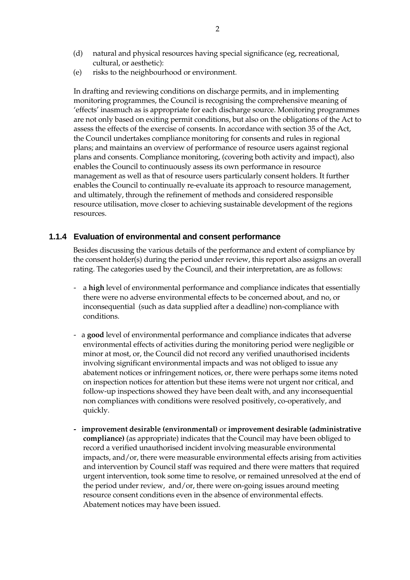- (d) natural and physical resources having special significance (eg, recreational, cultural, or aesthetic):
- (e) risks to the neighbourhood or environment.

In drafting and reviewing conditions on discharge permits, and in implementing monitoring programmes, the Council is recognising the comprehensive meaning of 'effects' inasmuch as is appropriate for each discharge source. Monitoring programmes are not only based on exiting permit conditions, but also on the obligations of the Act to assess the effects of the exercise of consents. In accordance with section 35 of the Act, the Council undertakes compliance monitoring for consents and rules in regional plans; and maintains an overview of performance of resource users against regional plans and consents. Compliance monitoring, (covering both activity and impact), also enables the Council to continuously assess its own performance in resource management as well as that of resource users particularly consent holders. It further enables the Council to continually re-evaluate its approach to resource management, and ultimately, through the refinement of methods and considered responsible resource utilisation, move closer to achieving sustainable development of the regions resources.

#### **1.1.4 Evaluation of environmental and consent performance**

Besides discussing the various details of the performance and extent of compliance by the consent holder(s) during the period under review, this report also assigns an overall rating. The categories used by the Council, and their interpretation, are as follows:

- a **high** level of environmental performance and compliance indicates that essentially there were no adverse environmental effects to be concerned about, and no, or inconsequential (such as data supplied after a deadline) non-compliance with conditions.
- a **good** level of environmental performance and compliance indicates that adverse environmental effects of activities during the monitoring period were negligible or minor at most, or, the Council did not record any verified unauthorised incidents involving significant environmental impacts and was not obliged to issue any abatement notices or infringement notices, or, there were perhaps some items noted on inspection notices for attention but these items were not urgent nor critical, and follow-up inspections showed they have been dealt with, and any inconsequential non compliances with conditions were resolved positively, co-operatively, and quickly.
- **improvement desirable (environmental)** or **improvement desirable (administrative compliance)** (as appropriate) indicates that the Council may have been obliged to record a verified unauthorised incident involving measurable environmental impacts, and/or, there were measurable environmental effects arising from activities and intervention by Council staff was required and there were matters that required urgent intervention, took some time to resolve, or remained unresolved at the end of the period under review, and/or, there were on-going issues around meeting resource consent conditions even in the absence of environmental effects. Abatement notices may have been issued.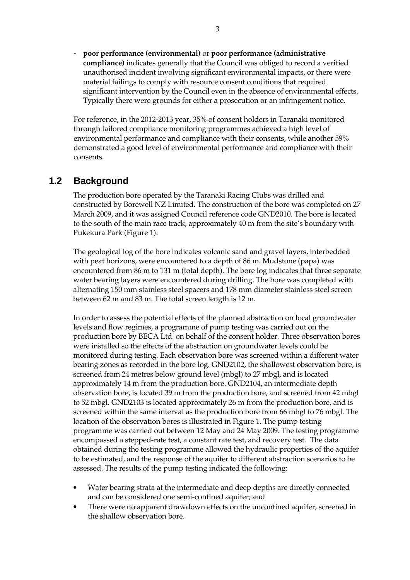- **poor performance (environmental)** or **poor performance (administrative compliance)** indicates generally that the Council was obliged to record a verified unauthorised incident involving significant environmental impacts, or there were material failings to comply with resource consent conditions that required significant intervention by the Council even in the absence of environmental effects. Typically there were grounds for either a prosecution or an infringement notice.

For reference, in the 2012-2013 year, 35% of consent holders in Taranaki monitored through tailored compliance monitoring programmes achieved a high level of environmental performance and compliance with their consents, while another 59% demonstrated a good level of environmental performance and compliance with their consents.

## **1.2 Background**

The production bore operated by the Taranaki Racing Clubs was drilled and constructed by Borewell NZ Limited. The construction of the bore was completed on 27 March 2009, and it was assigned Council reference code GND2010. The bore is located to the south of the main race track, approximately 40 m from the site's boundary with Pukekura Park (Figure 1).

The geological log of the bore indicates volcanic sand and gravel layers, interbedded with peat horizons, were encountered to a depth of 86 m. Mudstone (papa) was encountered from 86 m to 131 m (total depth). The bore log indicates that three separate water bearing layers were encountered during drilling. The bore was completed with alternating 150 mm stainless steel spacers and 178 mm diameter stainless steel screen between 62 m and 83 m. The total screen length is 12 m.

 In order to assess the potential effects of the planned abstraction on local groundwater levels and flow regimes, a programme of pump testing was carried out on the production bore by BECA Ltd. on behalf of the consent holder. Three observation bores were installed so the effects of the abstraction on groundwater levels could be monitored during testing. Each observation bore was screened within a different water bearing zones as recorded in the bore log. GND2102, the shallowest observation bore, is screened from 24 metres below ground level (mbgl) to 27 mbgl, and is located approximately 14 m from the production bore. GND2104, an intermediate depth observation bore, is located 39 m from the production bore, and screened from 42 mbgl to 52 mbgl. GND2103 is located approximately 26 m from the production bore, and is screened within the same interval as the production bore from 66 mbgl to 76 mbgl. The location of the observation bores is illustrated in Figure 1. The pump testing programme was carried out between 12 May and 24 May 2009. The testing programme encompassed a stepped-rate test, a constant rate test, and recovery test. The data obtained during the testing programme allowed the hydraulic properties of the aquifer to be estimated, and the response of the aquifer to different abstraction scenarios to be assessed. The results of the pump testing indicated the following:

- Water bearing strata at the intermediate and deep depths are directly connected and can be considered one semi-confined aquifer; and
- There were no apparent drawdown effects on the unconfined aquifer, screened in the shallow observation bore.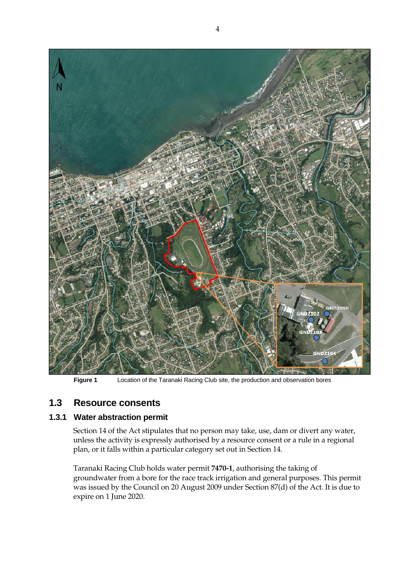

**Figure 1** Location of the Taranaki Racing Club site, the production and observation bores

## **1.3 Resource consents**

### **1.3.1 Water abstraction permit**

Section 14 of the Act stipulates that no person may take, use, dam or divert any water, unless the activity is expressly authorised by a resource consent or a rule in a regional plan, or it falls within a particular category set out in Section 14.

Taranaki Racing Club holds water permit **7470-1**, authorising the taking of groundwater from a bore for the race track irrigation and general purposes*.* This permit was issued by the Council on 20 August 2009 under Section 87(d) of the Act. It is due to expire on 1 June 2020.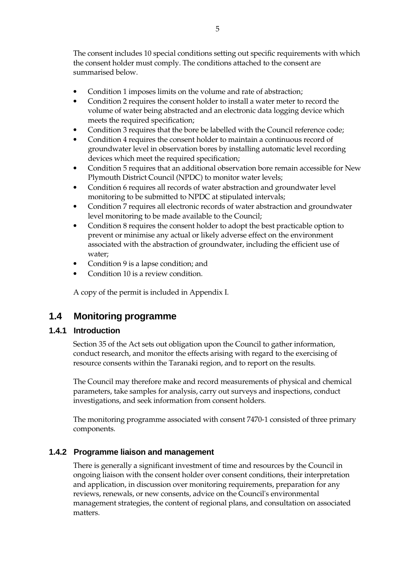The consent includes 10 special conditions setting out specific requirements with which the consent holder must comply. The conditions attached to the consent are summarised below.

- Condition 1 imposes limits on the volume and rate of abstraction;
- Condition 2 requires the consent holder to install a water meter to record the volume of water being abstracted and an electronic data logging device which meets the required specification;
- Condition 3 requires that the bore be labelled with the Council reference code;
- Condition 4 requires the consent holder to maintain a continuous record of groundwater level in observation bores by installing automatic level recording devices which meet the required specification;
- Condition 5 requires that an additional observation bore remain accessible for New Plymouth District Council (NPDC) to monitor water levels;
- Condition 6 requires all records of water abstraction and groundwater level monitoring to be submitted to NPDC at stipulated intervals;
- Condition 7 requires all electronic records of water abstraction and groundwater level monitoring to be made available to the Council;
- Condition 8 requires the consent holder to adopt the best practicable option to prevent or minimise any actual or likely adverse effect on the environment associated with the abstraction of groundwater, including the efficient use of water;
- Condition 9 is a lapse condition; and
- Condition 10 is a review condition.

A copy of the permit is included in Appendix I.

## **1.4 Monitoring programme**

#### **1.4.1 Introduction**

Section 35 of the Act sets out obligation upon the Council to gather information, conduct research, and monitor the effects arising with regard to the exercising of resource consents within the Taranaki region, and to report on the results.

The Council may therefore make and record measurements of physical and chemical parameters, take samples for analysis, carry out surveys and inspections, conduct investigations, and seek information from consent holders.

The monitoring programme associated with consent 7470-1 consisted of three primary components.

#### **1.4.2 Programme liaison and management**

There is generally a significant investment of time and resources by the Council in ongoing liaison with the consent holder over consent conditions, their interpretation and application, in discussion over monitoring requirements, preparation for any reviews, renewals, or new consents, advice on the Council's environmental management strategies, the content of regional plans, and consultation on associated matters.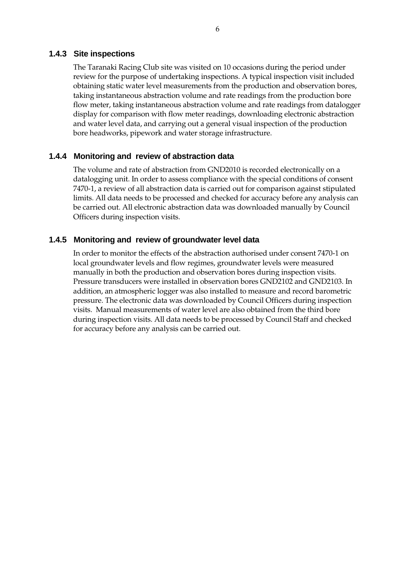#### **1.4.3 Site inspections**

The Taranaki Racing Club site was visited on 10 occasions during the period under review for the purpose of undertaking inspections. A typical inspection visit included obtaining static water level measurements from the production and observation bores, taking instantaneous abstraction volume and rate readings from the production bore flow meter, taking instantaneous abstraction volume and rate readings from datalogger display for comparison with flow meter readings, downloading electronic abstraction and water level data, and carrying out a general visual inspection of the production bore headworks, pipework and water storage infrastructure.

#### **1.4.4 Monitoring and review of abstraction data**

The volume and rate of abstraction from GND2010 is recorded electronically on a datalogging unit. In order to assess compliance with the special conditions of consent 7470-1, a review of all abstraction data is carried out for comparison against stipulated limits. All data needs to be processed and checked for accuracy before any analysis can be carried out. All electronic abstraction data was downloaded manually by Council Officers during inspection visits.

#### **1.4.5 Monitoring and review of groundwater level data**

In order to monitor the effects of the abstraction authorised under consent 7470-1 on local groundwater levels and flow regimes, groundwater levels were measured manually in both the production and observation bores during inspection visits. Pressure transducers were installed in observation bores GND2102 and GND2103. In addition, an atmospheric logger was also installed to measure and record barometric pressure. The electronic data was downloaded by Council Officers during inspection visits. Manual measurements of water level are also obtained from the third bore during inspection visits. All data needs to be processed by Council Staff and checked for accuracy before any analysis can be carried out.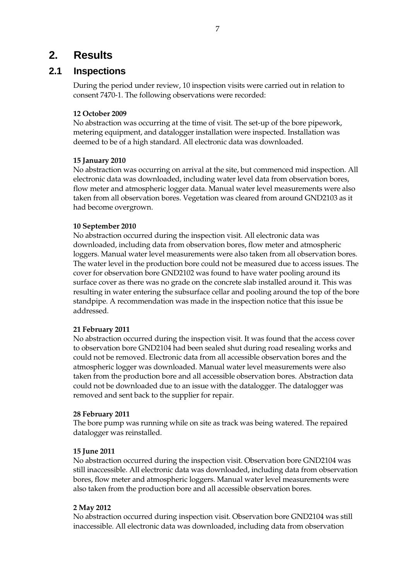## **2. Results**

### **2.1 Inspections**

During the period under review, 10 inspection visits were carried out in relation to consent 7470-1. The following observations were recorded:

#### **12 October 2009**

No abstraction was occurring at the time of visit. The set-up of the bore pipework, metering equipment, and datalogger installation were inspected. Installation was deemed to be of a high standard. All electronic data was downloaded.

#### **15 January 2010**

No abstraction was occurring on arrival at the site, but commenced mid inspection. All electronic data was downloaded, including water level data from observation bores, flow meter and atmospheric logger data. Manual water level measurements were also taken from all observation bores. Vegetation was cleared from around GND2103 as it had become overgrown.

#### **10 September 2010**

No abstraction occurred during the inspection visit. All electronic data was downloaded, including data from observation bores, flow meter and atmospheric loggers. Manual water level measurements were also taken from all observation bores. The water level in the production bore could not be measured due to access issues. The cover for observation bore GND2102 was found to have water pooling around its surface cover as there was no grade on the concrete slab installed around it. This was resulting in water entering the subsurface cellar and pooling around the top of the bore standpipe. A recommendation was made in the inspection notice that this issue be addressed.

#### **21 February 2011**

No abstraction occurred during the inspection visit. It was found that the access cover to observation bore GND2104 had been sealed shut during road resealing works and could not be removed. Electronic data from all accessible observation bores and the atmospheric logger was downloaded. Manual water level measurements were also taken from the production bore and all accessible observation bores. Abstraction data could not be downloaded due to an issue with the datalogger. The datalogger was removed and sent back to the supplier for repair.

#### **28 February 2011**

The bore pump was running while on site as track was being watered. The repaired datalogger was reinstalled.

#### **15 June 2011**

No abstraction occurred during the inspection visit. Observation bore GND2104 was still inaccessible. All electronic data was downloaded, including data from observation bores, flow meter and atmospheric loggers. Manual water level measurements were also taken from the production bore and all accessible observation bores.

#### **2 May 2012**

No abstraction occurred during inspection visit. Observation bore GND2104 was still inaccessible. All electronic data was downloaded, including data from observation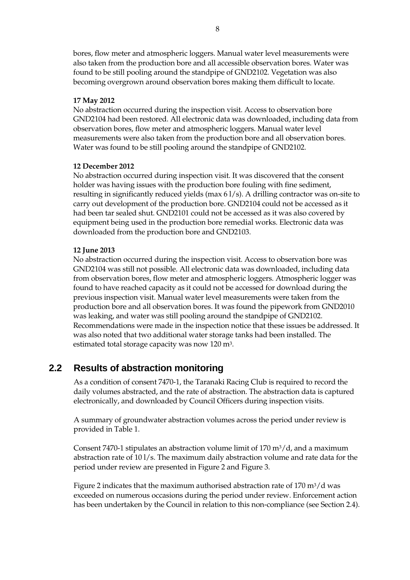bores, flow meter and atmospheric loggers. Manual water level measurements were also taken from the production bore and all accessible observation bores. Water was found to be still pooling around the standpipe of GND2102. Vegetation was also becoming overgrown around observation bores making them difficult to locate.

#### **17 May 2012**

No abstraction occurred during the inspection visit. Access to observation bore GND2104 had been restored. All electronic data was downloaded, including data from observation bores, flow meter and atmospheric loggers. Manual water level measurements were also taken from the production bore and all observation bores. Water was found to be still pooling around the standpipe of GND2102.

#### **12 December 2012**

No abstraction occurred during inspection visit. It was discovered that the consent holder was having issues with the production bore fouling with fine sediment, resulting in significantly reduced yields (max 61/s). A drilling contractor was on-site to carry out development of the production bore. GND2104 could not be accessed as it had been tar sealed shut. GND2101 could not be accessed as it was also covered by equipment being used in the production bore remedial works. Electronic data was downloaded from the production bore and GND2103.

#### **12 June 2013**

No abstraction occurred during the inspection visit. Access to observation bore was GND2104 was still not possible. All electronic data was downloaded, including data from observation bores, flow meter and atmospheric loggers. Atmospheric logger was found to have reached capacity as it could not be accessed for download during the previous inspection visit. Manual water level measurements were taken from the production bore and all observation bores. It was found the pipework from GND2010 was leaking, and water was still pooling around the standpipe of GND2102. Recommendations were made in the inspection notice that these issues be addressed. It was also noted that two additional water storage tanks had been installed. The estimated total storage capacity was now 120 m3.

## **2.2 Results of abstraction monitoring**

As a condition of consent 7470-1, the Taranaki Racing Club is required to record the daily volumes abstracted, and the rate of abstraction. The abstraction data is captured electronically, and downloaded by Council Officers during inspection visits.

A summary of groundwater abstraction volumes across the period under review is provided in Table 1.

Consent 7470-1 stipulates an abstraction volume limit of  $170 \text{ m}^3/\text{d}$ , and a maximum abstraction rate of 10 l/s. The maximum daily abstraction volume and rate data for the period under review are presented in Figure 2 and Figure 3.

Figure 2 indicates that the maximum authorised abstraction rate of  $170 \text{ m}^3/\text{d}$  was exceeded on numerous occasions during the period under review. Enforcement action has been undertaken by the Council in relation to this non-compliance (see Section 2.4).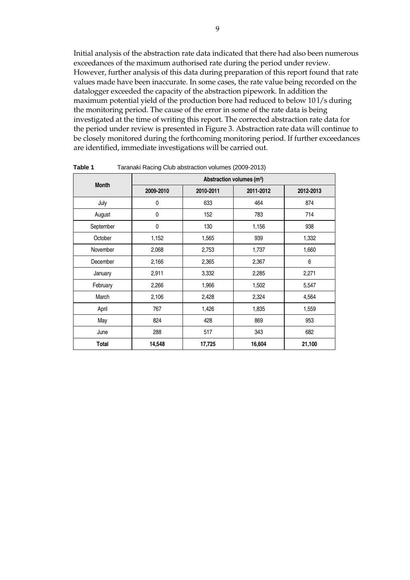Initial analysis of the abstraction rate data indicated that there had also been numerous exceedances of the maximum authorised rate during the period under review. However, further analysis of this data during preparation of this report found that rate values made have been inaccurate. In some cases, the rate value being recorded on the datalogger exceeded the capacity of the abstraction pipework. In addition the maximum potential yield of the production bore had reduced to below 10 l/s during the monitoring period. The cause of the error in some of the rate data is being investigated at the time of writing this report. The corrected abstraction rate data for the period under review is presented in Figure 3. Abstraction rate data will continue to be closely monitored during the forthcoming monitoring period. If further exceedances are identified, immediate investigations will be carried out.

| <b>Month</b> | Abstraction volumes (m <sup>3</sup> ) |           |           |           |
|--------------|---------------------------------------|-----------|-----------|-----------|
|              | 2009-2010                             | 2010-2011 | 2011-2012 | 2012-2013 |
| July         | 0                                     | 633       | 464       | 874       |
| August       | $\mathbf 0$                           | 152       | 783       | 714       |
| September    | $\pmb{0}$                             | 130       | 1,156     | 938       |
| October      | 1,152                                 | 1,565     | 939       | 1,332     |
| November     | 2,068                                 | 2,753     | 1,737     | 1,660     |
| December     | 2,166                                 | 2,365     | 2,367     | 6         |
| January      | 2,911                                 | 3,332     | 2,285     | 2,271     |
| February     | 2,266                                 | 1,966     | 1,502     | 5,547     |
| March        | 2,106                                 | 2,428     | 2,324     | 4,564     |
| April        | 767                                   | 1,426     | 1,835     | 1,559     |
| May          | 824                                   | 428       | 869       | 953       |
| June         | 288                                   | 517       | 343       | 682       |
| Total        | 14,548                                | 17,725    | 16,604    | 21,100    |

**Table 1** Taranaki Racing Club abstraction volumes (2009-2013)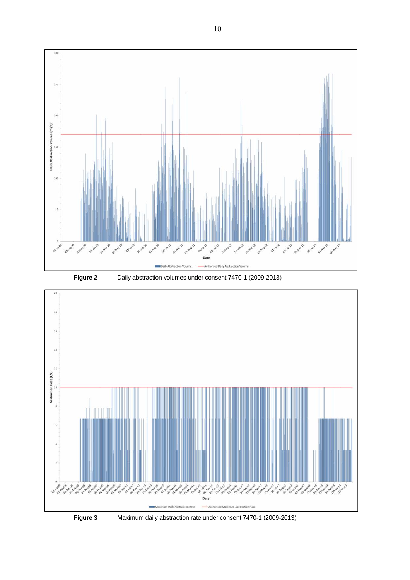





10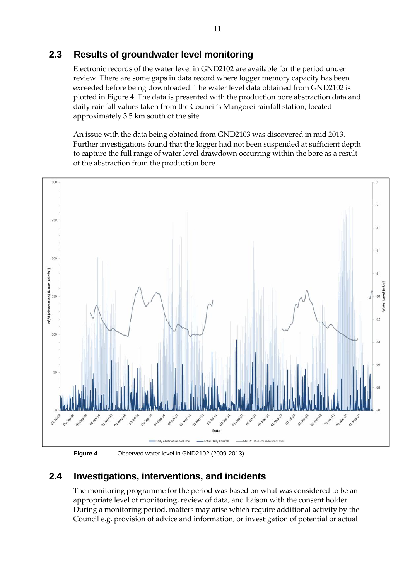## **2.3 Results of groundwater level monitoring**

Electronic records of the water level in GND2102 are available for the period under review. There are some gaps in data record where logger memory capacity has been exceeded before being downloaded. The water level data obtained from GND2102 is plotted in Figure 4. The data is presented with the production bore abstraction data and daily rainfall values taken from the Council's Mangorei rainfall station, located approximately 3.5 km south of the site.

An issue with the data being obtained from GND2103 was discovered in mid 2013. Further investigations found that the logger had not been suspended at sufficient depth to capture the full range of water level drawdown occurring within the bore as a result of the abstraction from the production bore.



**Figure 4** Observed water level in GND2102 (2009-2013)

## **2.4 Investigations, interventions, and incidents**

The monitoring programme for the period was based on what was considered to be an appropriate level of monitoring, review of data, and liaison with the consent holder. During a monitoring period, matters may arise which require additional activity by the Council e.g. provision of advice and information, or investigation of potential or actual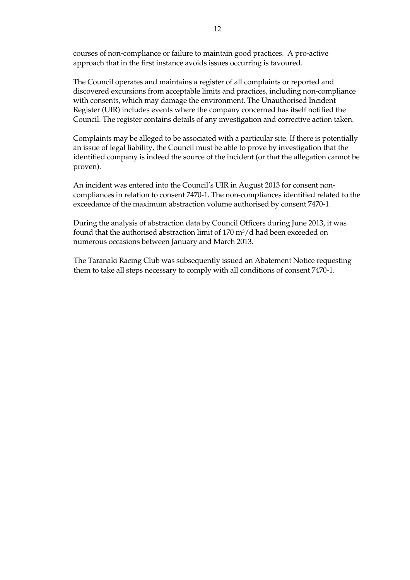courses of non-compliance or failure to maintain good practices. A pro-active approach that in the first instance avoids issues occurring is favoured.

The Council operates and maintains a register of all complaints or reported and discovered excursions from acceptable limits and practices, including non-compliance with consents, which may damage the environment. The Unauthorised Incident Register (UIR) includes events where the company concerned has itself notified the Council. The register contains details of any investigation and corrective action taken.

Complaints may be alleged to be associated with a particular site. If there is potentially an issue of legal liability, the Council must be able to prove by investigation that the identified company is indeed the source of the incident (or that the allegation cannot be proven).

An incident was entered into the Council's UIR in August 2013 for consent noncompliances in relation to consent 7470-1. The non-compliances identified related to the exceedance of the maximum abstraction volume authorised by consent 7470-1.

During the analysis of abstraction data by Council Officers during June 2013, it was found that the authorised abstraction limit of  $170 \text{ m}^3/\text{d}$  had been exceeded on numerous occasions between January and March 2013.

The Taranaki Racing Club was subsequently issued an Abatement Notice requesting them to take all steps necessary to comply with all conditions of consent 7470-1.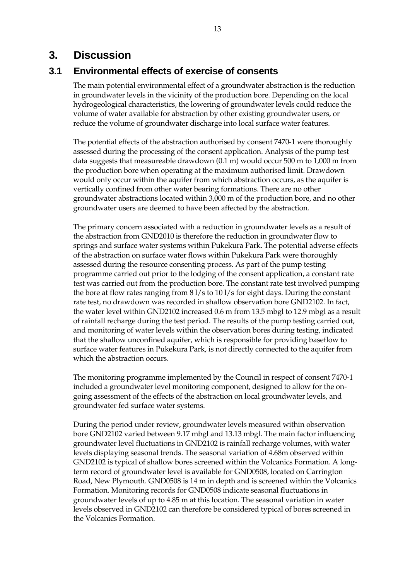## **3. Discussion**

## **3.1 Environmental effects of exercise of consents**

The main potential environmental effect of a groundwater abstraction is the reduction in groundwater levels in the vicinity of the production bore. Depending on the local hydrogeological characteristics, the lowering of groundwater levels could reduce the volume of water available for abstraction by other existing groundwater users, or reduce the volume of groundwater discharge into local surface water features.

The potential effects of the abstraction authorised by consent 7470-1 were thoroughly assessed during the processing of the consent application. Analysis of the pump test data suggests that measureable drawdown (0.1 m) would occur 500 m to 1,000 m from the production bore when operating at the maximum authorised limit. Drawdown would only occur within the aquifer from which abstraction occurs, as the aquifer is vertically confined from other water bearing formations. There are no other groundwater abstractions located within 3,000 m of the production bore, and no other groundwater users are deemed to have been affected by the abstraction.

The primary concern associated with a reduction in groundwater levels as a result of the abstraction from GND2010 is therefore the reduction in groundwater flow to springs and surface water systems within Pukekura Park. The potential adverse effects of the abstraction on surface water flows within Pukekura Park were thoroughly assessed during the resource consenting process. As part of the pump testing programme carried out prior to the lodging of the consent application, a constant rate test was carried out from the production bore. The constant rate test involved pumping the bore at flow rates ranging from 8 l/s to 10 l/s for eight days. During the constant rate test, no drawdown was recorded in shallow observation bore GND2102. In fact, the water level within GND2102 increased 0.6 m from 13.5 mbgl to 12.9 mbgl as a result of rainfall recharge during the test period. The results of the pump testing carried out, and monitoring of water levels within the observation bores during testing, indicated that the shallow unconfined aquifer, which is responsible for providing baseflow to surface water features in Pukekura Park, is not directly connected to the aquifer from which the abstraction occurs.

The monitoring programme implemented by the Council in respect of consent 7470-1 included a groundwater level monitoring component, designed to allow for the ongoing assessment of the effects of the abstraction on local groundwater levels, and groundwater fed surface water systems.

During the period under review, groundwater levels measured within observation bore GND2102 varied between 9.17 mbgl and 13.13 mbgl. The main factor influencing groundwater level fluctuations in GND2102 is rainfall recharge volumes, with water levels displaying seasonal trends. The seasonal variation of 4.68m observed within GND2102 is typical of shallow bores screened within the Volcanics Formation. A longterm record of groundwater level is available for GND0508, located on Carrington Road, New Plymouth. GND0508 is 14 m in depth and is screened within the Volcanics Formation. Monitoring records for GND0508 indicate seasonal fluctuations in groundwater levels of up to 4.85 m at this location. The seasonal variation in water levels observed in GND2102 can therefore be considered typical of bores screened in the Volcanics Formation.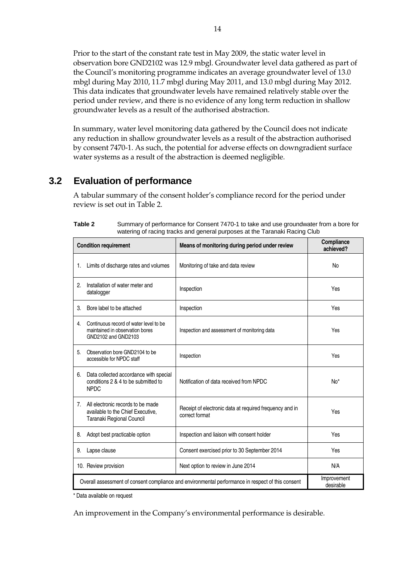Prior to the start of the constant rate test in May 2009, the static water level in observation bore GND2102 was 12.9 mbgl. Groundwater level data gathered as part of the Council's monitoring programme indicates an average groundwater level of 13.0 mbgl during May 2010, 11.7 mbgl during May 2011, and 13.0 mbgl during May 2012. This data indicates that groundwater levels have remained relatively stable over the period under review, and there is no evidence of any long term reduction in shallow groundwater levels as a result of the authorised abstraction.

In summary, water level monitoring data gathered by the Council does not indicate any reduction in shallow groundwater levels as a result of the abstraction authorised by consent 7470-1. As such, the potential for adverse effects on downgradient surface water systems as a result of the abstraction is deemed negligible.

## **3.2 Evaluation of performance**

A tabular summary of the consent holder's compliance record for the period under review is set out in Table 2.

|                                                                                                   | <b>Condition requirement</b>                                                                        | Means of monitoring during period under review                            | Compliance<br>achieved?  |
|---------------------------------------------------------------------------------------------------|-----------------------------------------------------------------------------------------------------|---------------------------------------------------------------------------|--------------------------|
| 1.                                                                                                | Limits of discharge rates and volumes                                                               | Monitoring of take and data review                                        | No                       |
| 2.                                                                                                | Installation of water meter and<br>datalogger                                                       | Inspection                                                                | Yes                      |
| 3.                                                                                                | Bore label to be attached                                                                           | Inspection                                                                | Yes                      |
| 4.                                                                                                | Continuous record of water level to be<br>maintained in observation bores<br>GND2102 and GND2103    | Inspection and assessment of monitoring data                              | Yes                      |
| 5.                                                                                                | Observation bore GND2104 to be<br>accessible for NPDC staff                                         | Inspection                                                                | Yes                      |
| 6.                                                                                                | Data collected accordance with special<br>conditions 2 & 4 to be submitted to<br><b>NPDC</b>        | Notification of data received from NPDC                                   | $No*$                    |
| $7_{\scriptscriptstyle{\ddots}}$                                                                  | All electronic records to be made<br>available to the Chief Executive,<br>Taranaki Regional Council | Receipt of electronic data at required frequency and in<br>correct format | Yes                      |
| 8.                                                                                                | Adopt best practicable option                                                                       | Inspection and liaison with consent holder                                | Yes                      |
| 9.                                                                                                | Lapse clause                                                                                        | Consent exercised prior to 30 September 2014                              | Yes                      |
|                                                                                                   | 10. Review provision                                                                                | Next option to review in June 2014                                        | N/A                      |
| Overall assessment of consent compliance and environmental performance in respect of this consent |                                                                                                     |                                                                           | Improvement<br>desirable |

| Table 2 | Summary of performance for Consent 7470-1 to take and use groundwater from a bore for |
|---------|---------------------------------------------------------------------------------------|
|         | watering of racing tracks and general purposes at the Taranaki Racing Club            |

\* Data available on request

An improvement in the Company's environmental performance is desirable.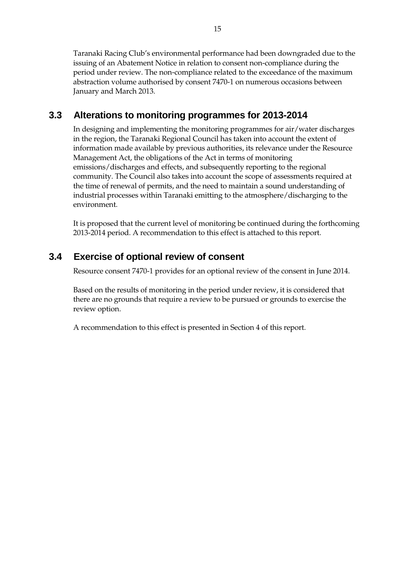Taranaki Racing Club's environmental performance had been downgraded due to the issuing of an Abatement Notice in relation to consent non-compliance during the period under review. The non-compliance related to the exceedance of the maximum abstraction volume authorised by consent 7470-1 on numerous occasions between January and March 2013.

## **3.3 Alterations to monitoring programmes for 2013-2014**

In designing and implementing the monitoring programmes for air/water discharges in the region, the Taranaki Regional Council has taken into account the extent of information made available by previous authorities, its relevance under the Resource Management Act, the obligations of the Act in terms of monitoring emissions/discharges and effects, and subsequently reporting to the regional community. The Council also takes into account the scope of assessments required at the time of renewal of permits, and the need to maintain a sound understanding of industrial processes within Taranaki emitting to the atmosphere/discharging to the environment.

It is proposed that the current level of monitoring be continued during the forthcoming 2013-2014 period. A recommendation to this effect is attached to this report.

## **3.4 Exercise of optional review of consent**

Resource consent 7470-1 provides for an optional review of the consent in June 2014.

Based on the results of monitoring in the period under review, it is considered that there are no grounds that require a review to be pursued or grounds to exercise the review option.

A recommendation to this effect is presented in Section 4 of this report.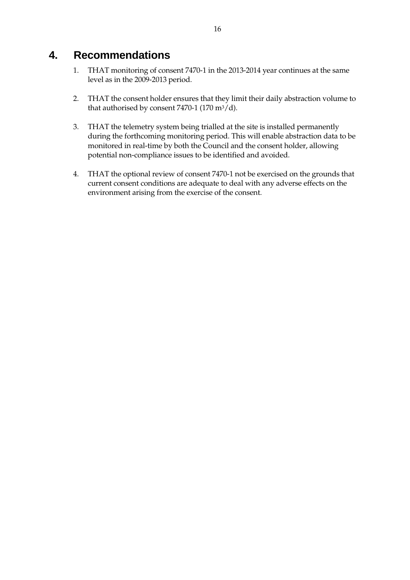# **4. Recommendations**

- 1. THAT monitoring of consent 7470-1 in the 2013-2014 year continues at the same level as in the 2009-2013 period.
- 2. THAT the consent holder ensures that they limit their daily abstraction volume to that authorised by consent 7470-1 (170 m<sup>3</sup>/d).
- 3. THAT the telemetry system being trialled at the site is installed permanently during the forthcoming monitoring period. This will enable abstraction data to be monitored in real-time by both the Council and the consent holder, allowing potential non-compliance issues to be identified and avoided.
- 4. THAT the optional review of consent 7470-1 not be exercised on the grounds that current consent conditions are adequate to deal with any adverse effects on the environment arising from the exercise of the consent.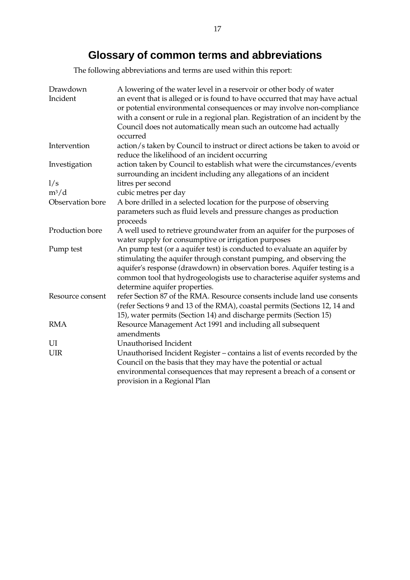# **Glossary of common te**r**ms and abbreviations**

The following abbreviations and terms are used within this report:

| Drawdown<br>Incident | A lowering of the water level in a reservoir or other body of water<br>an event that is alleged or is found to have occurred that may have actual<br>or potential environmental consequences or may involve non-compliance<br>with a consent or rule in a regional plan. Registration of an incident by the<br>Council does not automatically mean such an outcome had actually<br>occurred |
|----------------------|---------------------------------------------------------------------------------------------------------------------------------------------------------------------------------------------------------------------------------------------------------------------------------------------------------------------------------------------------------------------------------------------|
| Intervention         | action/s taken by Council to instruct or direct actions be taken to avoid or<br>reduce the likelihood of an incident occurring                                                                                                                                                                                                                                                              |
| Investigation        | action taken by Council to establish what were the circumstances/events<br>surrounding an incident including any allegations of an incident                                                                                                                                                                                                                                                 |
| 1/s                  | litres per second                                                                                                                                                                                                                                                                                                                                                                           |
| $m^3/d$              | cubic metres per day                                                                                                                                                                                                                                                                                                                                                                        |
| Observation bore     | A bore drilled in a selected location for the purpose of observing                                                                                                                                                                                                                                                                                                                          |
|                      | parameters such as fluid levels and pressure changes as production                                                                                                                                                                                                                                                                                                                          |
|                      | proceeds                                                                                                                                                                                                                                                                                                                                                                                    |
| Production bore      | A well used to retrieve groundwater from an aquifer for the purposes of<br>water supply for consumptive or irrigation purposes                                                                                                                                                                                                                                                              |
| Pump test            | An pump test (or a aquifer test) is conducted to evaluate an aquifer by<br>stimulating the aquifer through constant pumping, and observing the<br>aquifer's response (drawdown) in observation bores. Aquifer testing is a<br>common tool that hydrogeologists use to characterise aquifer systems and<br>determine aquifer properties.                                                     |
| Resource consent     | refer Section 87 of the RMA. Resource consents include land use consents<br>(refer Sections 9 and 13 of the RMA), coastal permits (Sections 12, 14 and<br>15), water permits (Section 14) and discharge permits (Section 15)                                                                                                                                                                |
| <b>RMA</b>           | Resource Management Act 1991 and including all subsequent<br>amendments                                                                                                                                                                                                                                                                                                                     |
| UI                   | Unauthorised Incident                                                                                                                                                                                                                                                                                                                                                                       |
| <b>UIR</b>           | Unauthorised Incident Register – contains a list of events recorded by the                                                                                                                                                                                                                                                                                                                  |
|                      | Council on the basis that they may have the potential or actual                                                                                                                                                                                                                                                                                                                             |
|                      | environmental consequences that may represent a breach of a consent or                                                                                                                                                                                                                                                                                                                      |
|                      | provision in a Regional Plan                                                                                                                                                                                                                                                                                                                                                                |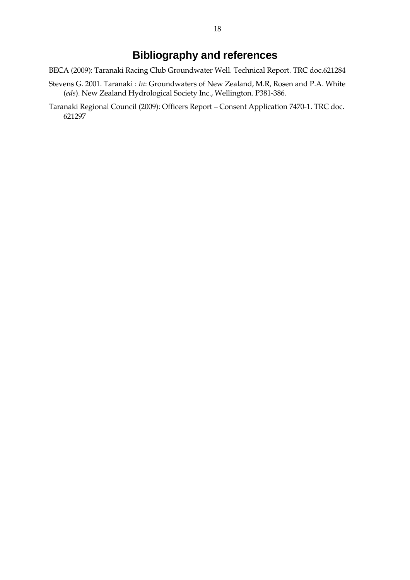# **Bibliography and references**

- BECA (2009): Taranaki Racing Club Groundwater Well. Technical Report. TRC doc.621284
- Stevens G. 2001. Taranaki : *In*: Groundwaters of New Zealand, M.R, Rosen and P.A. White (*eds*). New Zealand Hydrological Society Inc., Wellington. P381-386.
- Taranaki Regional Council (2009): Officers Report Consent Application 7470-1. TRC doc. 621297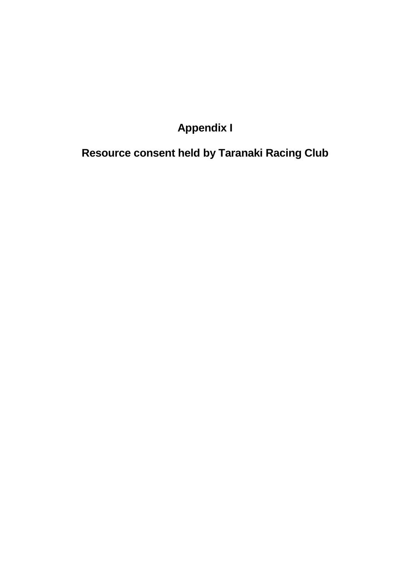# **Appendix I**

# **Resource consent held by Taranaki Racing Club**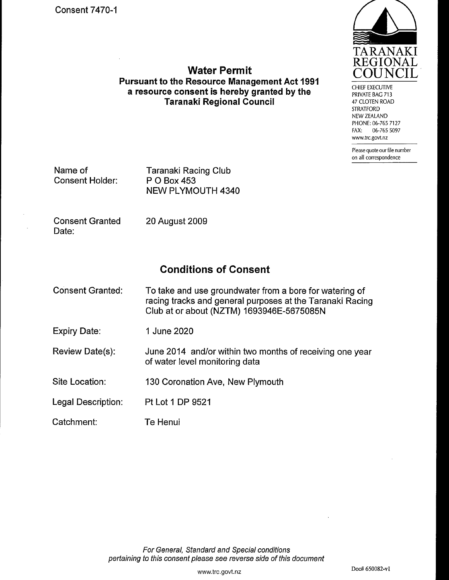

**CHIEF EXECUTIVE** PRIVATE BAG 713 47 CLOTEN ROAD **STRATFORD** NEW ZEALAND PHONE: 06-765 7127 06-765 5097 FAX: www.trc.govt.nz

Please quote our file number on all correspondence

Name of **Consent Holder:** 

**Taranaki Racing Club** P O Box 453 **NEW PLYMOUTH 4340** 

**Consent Granted** Date:

20 August 2009

## **Conditions of Consent**

**Water Permit** 

**Pursuant to the Resource Management Act 1991** 

a resource consent is hereby granted by the

**Taranaki Regional Council** 

**Consent Granted:** To take and use groundwater from a bore for watering of racing tracks and general purposes at the Taranaki Racing Club at or about (NZTM) 1693946E-5675085N

**Expiry Date:** 1 June 2020

Review Date(s): June 2014 and/or within two months of receiving one year of water level monitoring data

Site Location: 130 Coronation Ave, New Plymouth

Legal Description: Pt Lot 1 DP 9521

Catchment: Te Henui

> For General, Standard and Special conditions pertaining to this consent please see reverse side of this document

Doc# 650082-v1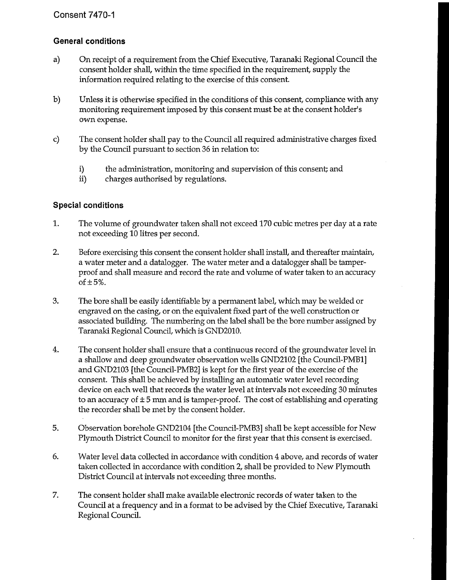#### **Consent 7470-1**

#### **General conditions**

- On receipt of a requirement from the Chief Executive, Taranaki Regional Council the a) consent holder shall, within the time specified in the requirement, supply the information required relating to the exercise of this consent.
- $b)$ Unless it is otherwise specified in the conditions of this consent, compliance with any monitoring requirement imposed by this consent must be at the consent holder's own expense.
- $\mathbf{c}$ The consent holder shall pay to the Council all required administrative charges fixed by the Council pursuant to section 36 in relation to:
	- the administration, monitoring and supervision of this consent; and i)
	- $\mathbf{ii}$ ) charges authorised by regulations.

#### **Special conditions**

- 1. The volume of groundwater taken shall not exceed 170 cubic metres per day at a rate not exceeding 10 litres per second.
- $2.$ Before exercising this consent the consent holder shall install, and thereafter maintain, a water meter and a datalogger. The water meter and a datalogger shall be tamperproof and shall measure and record the rate and volume of water taken to an accuracy of  $\pm$  5%.
- 3. The bore shall be easily identifiable by a permanent label, which may be welded or engraved on the casing, or on the equivalent fixed part of the well construction or associated building. The numbering on the label shall be the bore number assigned by Taranaki Regional Council, which is GND2010.
- 4. The consent holder shall ensure that a continuous record of the groundwater level in a shallow and deep groundwater observation wells GND2102 [the Council-PMB1] and GND2103 [the Council-PMB2] is kept for the first year of the exercise of the consent. This shall be achieved by installing an automatic water level recording device on each well that records the water level at intervals not exceeding 30 minutes to an accuracy of  $\pm 5$  mm and is tamper-proof. The cost of establishing and operating the recorder shall be met by the consent holder.
- 5. Observation borehole GND2104 [the Council-PMB3] shall be kept accessible for New Plymouth District Council to monitor for the first year that this consent is exercised.
- 6. Water level data collected in accordance with condition 4 above, and records of water taken collected in accordance with condition 2, shall be provided to New Plymouth District Council at intervals not exceeding three months.
- 7. The consent holder shall make available electronic records of water taken to the Council at a frequency and in a format to be advised by the Chief Executive, Taranaki Regional Council.